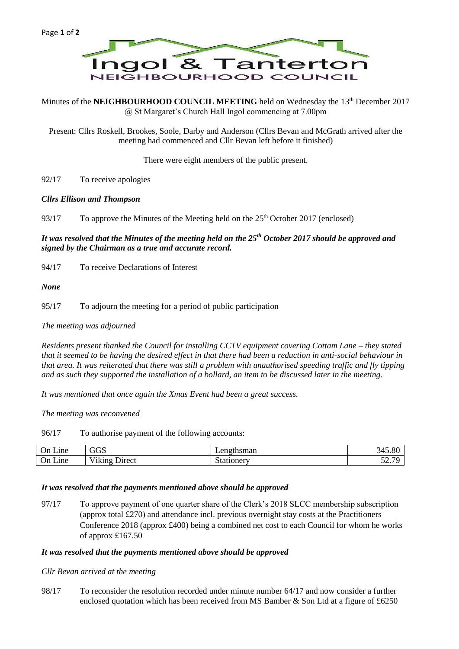

Minutes of the **NEIGHBOURHOOD COUNCIL MEETING** held on Wednesday the 13<sup>th</sup> December 2017 @ St Margaret's Church Hall Ingol commencing at 7.00pm

Present: Cllrs Roskell, Brookes, Soole, Darby and Anderson (Cllrs Bevan and McGrath arrived after the meeting had commenced and Cllr Bevan left before it finished)

There were eight members of the public present.

92/17 To receive apologies

## *Cllrs Ellison and Thompson*

93/17 To approve the Minutes of the Meeting held on the 25th October 2017 (enclosed)

# *It was resolved that the Minutes of the meeting held on the 25th October 2017 should be approved and signed by the Chairman as a true and accurate record.*

94/17 To receive Declarations of Interest

*None*

95/17 To adjourn the meeting for a period of public participation

*The meeting was adjourned*

*Residents present thanked the Council for installing CCTV equipment covering Cottam Lane – they stated that it seemed to be having the desired effect in that there had been a reduction in anti-social behaviour in that area. It was reiterated that there was still a problem with unauthorised speeding traffic and fly tipping and as such they supported the installation of a bollard, an item to be discussed later in the meeting.*

*It was mentioned that once again the Xmas Event had been a great success.*

*The meeting was reconvened*

96/17 To authorise payment of the following accounts:

| -<br>$\sim$<br>Jn<br>Lıne   | $\sqrt{2}$<br>auu                       | angthaman<br>тикніан         | $\Omega$<br>$\sim$ $\sim$<br>743.8U |
|-----------------------------|-----------------------------------------|------------------------------|-------------------------------------|
| ⌒<br>Jn.<br><sub>1</sub> ne | $T+1$<br><b>Jirect</b><br>1K1N9<br>---- | $\sim$<br>uoner <sup>.</sup> | $\sim$ $\sim$<br>$\sim$<br>، ، سے ب |

#### *It was resolved that the payments mentioned above should be approved*

97/17 To approve payment of one quarter share of the Clerk's 2018 SLCC membership subscription (approx total £270) and attendance incl. previous overnight stay costs at the Practitioners Conference 2018 (approx £400) being a combined net cost to each Council for whom he works of approx £167.50

#### *It was resolved that the payments mentioned above should be approved*

*Cllr Bevan arrived at the meeting*

98/17 To reconsider the resolution recorded under minute number 64/17 and now consider a further enclosed quotation which has been received from MS Bamber & Son Ltd at a figure of £6250